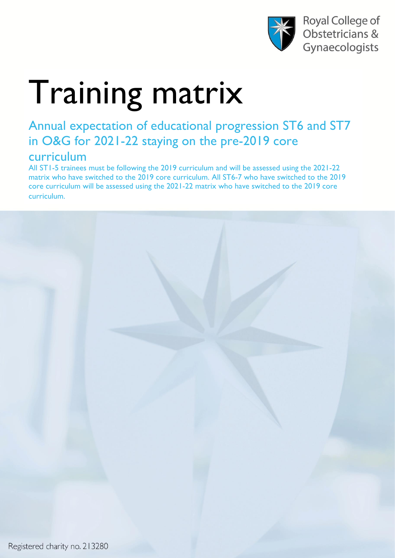

Royal College of Obstetricians & Gynaecologists

## Training matrix

## Annual expectation of educational progression ST6 and ST7 in O&G for 2021-22 staying on the pre-2019 core curriculum

All ST1-5 trainees must be following the 2019 curriculum and will be assessed using the 2021-22 matrix who have switched to the 2019 core curriculum. All ST6-7 who have switched to the 2019 core curriculum will be assessed using the 2021-22 matrix who have switched to the 2019 core curriculum.

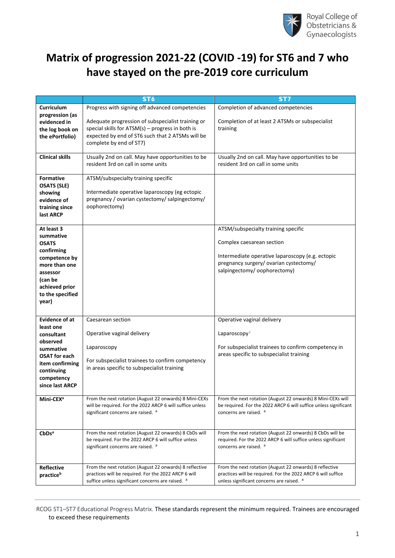

## **Matrix of progression 2021-22 (COVID -19) for ST6 and 7 who have stayed on the pre-2019 core curriculum**

|                        | ST <sub>6</sub>                                              | ST <sub>7</sub>                                                                                                         |
|------------------------|--------------------------------------------------------------|-------------------------------------------------------------------------------------------------------------------------|
| Curriculum             | Progress with signing off advanced competencies              | Completion of advanced competencies                                                                                     |
| progression (as        |                                                              |                                                                                                                         |
| evidenced in           | Adequate progression of subspecialist training or            | Completion of at least 2 ATSMs or subspecialist                                                                         |
|                        | special skills for $ATSM(s)$ – progress in both is           | training                                                                                                                |
| the log book on        | expected by end of ST6 such that 2 ATSMs will be             |                                                                                                                         |
| the ePortfolio)        |                                                              |                                                                                                                         |
|                        | complete by end of ST7)                                      |                                                                                                                         |
| <b>Clinical skills</b> | Usually 2nd on call. May have opportunities to be            | Usually 2nd on call. May have opportunities to be                                                                       |
|                        | resident 3rd on call in some units                           | resident 3rd on call in some units                                                                                      |
|                        |                                                              |                                                                                                                         |
| <b>Formative</b>       | ATSM/subspecialty training specific                          |                                                                                                                         |
| <b>OSATS (SLE)</b>     |                                                              |                                                                                                                         |
|                        | Intermediate operative laparoscopy (eg ectopic               |                                                                                                                         |
| showing                | pregnancy / ovarian cystectomy/ salpingectomy/               |                                                                                                                         |
| evidence of            | oophorectomy)                                                |                                                                                                                         |
| training since         |                                                              |                                                                                                                         |
| last ARCP              |                                                              |                                                                                                                         |
| At least 3             |                                                              | ATSM/subspecialty training specific                                                                                     |
| summative              |                                                              |                                                                                                                         |
| <b>OSATS</b>           |                                                              | Complex caesarean section                                                                                               |
|                        |                                                              |                                                                                                                         |
| confirming             |                                                              | Intermediate operative laparoscopy (e.g. ectopic                                                                        |
| competence by          |                                                              | pregnancy surgery/ ovarian cystectomy/                                                                                  |
| more than one          |                                                              | salpingectomy/oophorectomy)                                                                                             |
| assessor               |                                                              |                                                                                                                         |
| (can be                |                                                              |                                                                                                                         |
| achieved prior         |                                                              |                                                                                                                         |
| to the specified       |                                                              |                                                                                                                         |
| year)                  |                                                              |                                                                                                                         |
|                        |                                                              |                                                                                                                         |
| <b>Evidence of at</b>  | Caesarean section                                            | Operative vaginal delivery                                                                                              |
| least one              |                                                              |                                                                                                                         |
| consultant             | Operative vaginal delivery                                   | Laparoscopy <sup>i</sup>                                                                                                |
| observed               |                                                              |                                                                                                                         |
| summative              | Laparoscopy                                                  | For subspecialist trainees to confirm competency in                                                                     |
| <b>OSAT for each</b>   |                                                              | areas specific to subspecialist training                                                                                |
| item confirming        | For subspecialist trainees to confirm competency             |                                                                                                                         |
| continuing             | in areas specific to subspecialist training                  |                                                                                                                         |
| competency             |                                                              |                                                                                                                         |
| since last ARCP        |                                                              |                                                                                                                         |
|                        |                                                              |                                                                                                                         |
| Mini-CEX <sup>a</sup>  | From the next rotation (August 22 onwards) 8 Mini-CEXs       | From the next rotation (August 22 onwards) 8 Mini-CEXs will                                                             |
|                        | will be required. For the 2022 ARCP 6 will suffice unless    | be required. For the 2022 ARCP 6 will suffice unless significant                                                        |
|                        | significant concerns are raised. <sup>a</sup>                | concerns are raised. <sup>a</sup>                                                                                       |
|                        |                                                              |                                                                                                                         |
|                        |                                                              |                                                                                                                         |
| CbDs <sup>a</sup>      | From the next rotation (August 22 onwards) 8 CbDs will       | From the next rotation (August 22 onwards) 8 CbDs will be                                                               |
|                        | be required. For the 2022 ARCP 6 will suffice unless         | required. For the 2022 ARCP 6 will suffice unless significant                                                           |
|                        | significant concerns are raised. a                           | concerns are raised. <sup>a</sup>                                                                                       |
|                        |                                                              |                                                                                                                         |
|                        | From the next rotation (August 22 onwards) 8 reflective      |                                                                                                                         |
| <b>Reflective</b>      | practices will be required. For the 2022 ARCP 6 will         | From the next rotation (August 22 onwards) 8 reflective<br>practices will be required. For the 2022 ARCP 6 will suffice |
| practiceb              | suffice unless significant concerns are raised. <sup>a</sup> | unless significant concerns are raised. <sup>a</sup>                                                                    |
|                        |                                                              |                                                                                                                         |

RCOG ST1–ST7 Educational Progress Matrix. These standards represent the minimum required. Trainees are encouraged to exceed these requirements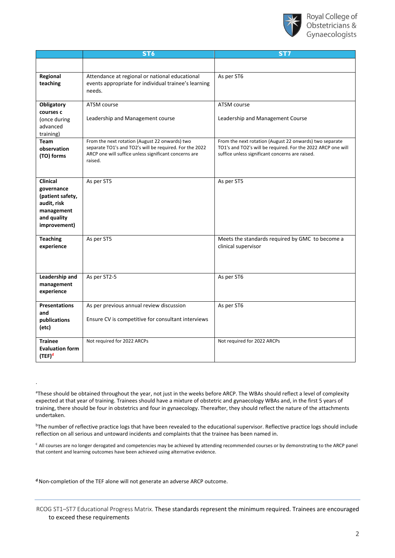

|                                                                                                               | ST <sub>6</sub>                                                                                                                                                               | ST7                                                                                                                                                                        |
|---------------------------------------------------------------------------------------------------------------|-------------------------------------------------------------------------------------------------------------------------------------------------------------------------------|----------------------------------------------------------------------------------------------------------------------------------------------------------------------------|
|                                                                                                               |                                                                                                                                                                               |                                                                                                                                                                            |
| Regional<br>teaching                                                                                          | Attendance at regional or national educational<br>events appropriate for individual trainee's learning<br>needs.                                                              | As per ST6                                                                                                                                                                 |
| Obligatory<br>courses c<br>(once during<br>advanced<br>training)                                              | ATSM course<br>Leadership and Management course                                                                                                                               | ATSM course<br>Leadership and Management Course                                                                                                                            |
| Team<br>observation<br>(TO) forms                                                                             | From the next rotation (August 22 onwards) two<br>separate TO1's and TO2's will be required. For the 2022<br>ARCP one will suffice unless significant concerns are<br>raised. | From the next rotation (August 22 onwards) two separate<br>TO1's and TO2's will be required. For the 2022 ARCP one will<br>suffice unless significant concerns are raised. |
| <b>Clinical</b><br>governance<br>(patient safety,<br>audit, risk<br>management<br>and quality<br>improvement) | As per ST5                                                                                                                                                                    | As per ST5                                                                                                                                                                 |
| <b>Teaching</b><br>experience                                                                                 | As per ST5                                                                                                                                                                    | Meets the standards required by GMC to become a<br>clinical supervisor                                                                                                     |
| Leadership and<br>management<br>experience                                                                    | As per ST2-5                                                                                                                                                                  | As per ST6                                                                                                                                                                 |
| <b>Presentations</b><br>and<br>publications<br>(etc)                                                          | As per previous annual review discussion<br>Ensure CV is competitive for consultant interviews                                                                                | As per ST6                                                                                                                                                                 |
| <b>Trainee</b><br><b>Evaluation form</b><br>(TEF) <sup>d</sup>                                                | Not required for 2022 ARCPs                                                                                                                                                   | Not required for 2022 ARCPs                                                                                                                                                |

aThese should be obtained throughout the year, not just in the weeks before ARCP. The WBAs should reflect a level of complexity expected at that year of training. Trainees should have a mixture of obstetric and gynaecology WBAs and, in the first 5 years of training, there should be four in obstetrics and four in gynaecology. Thereafter, they should reflect the nature of the attachments undertaken.

<sup>b</sup>The number of reflective practice logs that have been revealed to the educational supervisor. Reflective practice logs should include reflection on all serious and untoward incidents and complaints that the trainee has been named in.

<sup>c</sup> All courses are no longer derogated and competencies may be achieved by attending recommended courses or by demonstrating to the ARCP panel that content and learning outcomes have been achieved using alternative evidence.

**d**Non-completion of the TEF alone will not generate an adverse ARCP outcome.

.

RCOG ST1–ST7 Educational Progress Matrix. These standards represent the minimum required. Trainees are encouraged to exceed these requirements